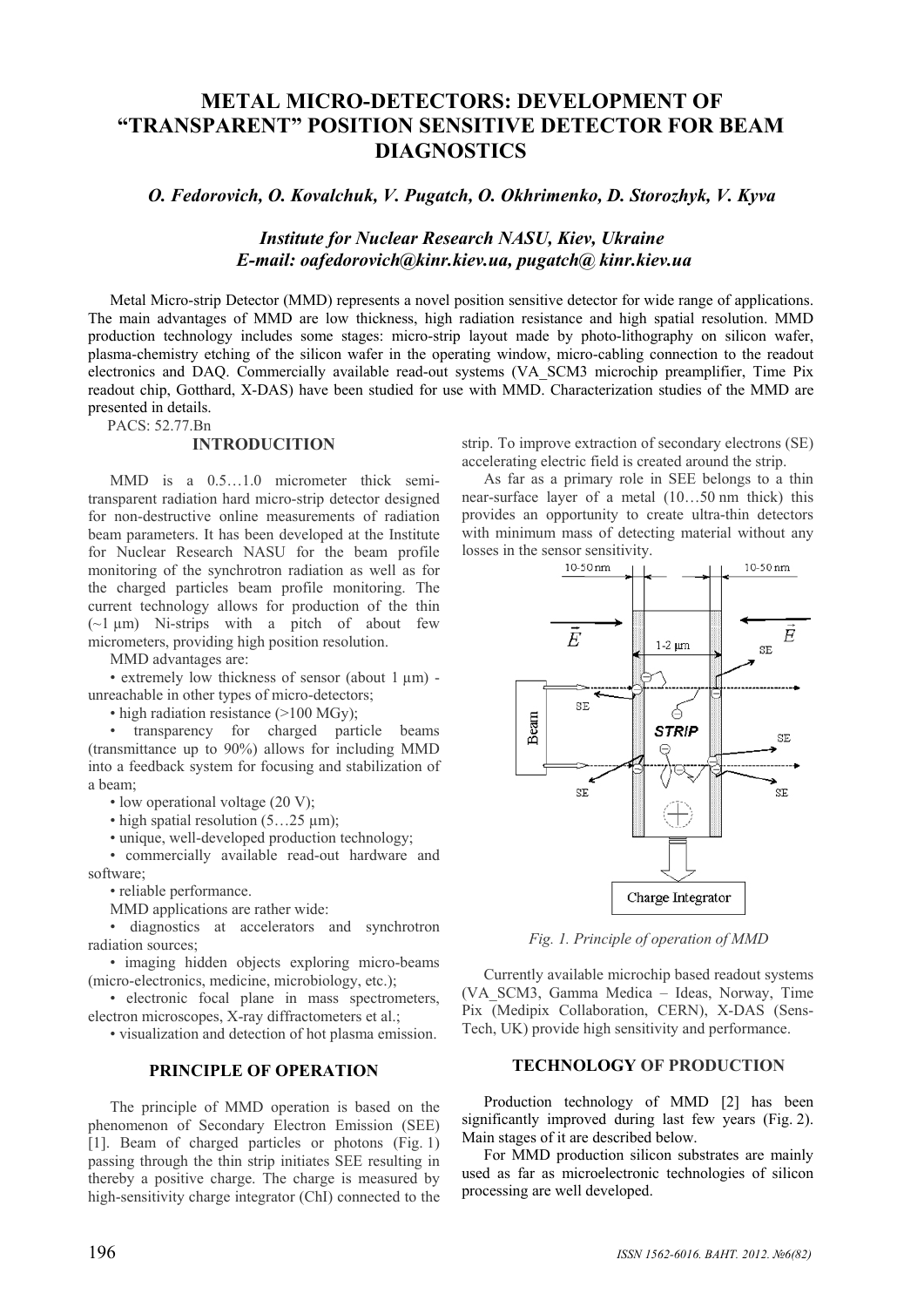# **METAL MICRO-DETECTORS: DEVELOPMENT OF "TRANSPARENT" POSITION SENSITIVE DETECTOR FOR BEAM DIAGNOSTICS**

*O. Fedorovich, O. Kovalchuk, V. Pugatch, O. Okhrimenko, D. Storozhyk, V. Kyva* 

# *Institute for Nuclear Research NASU, Kiev, Ukraine E-mail: oafedorovich@kinr.kiev.ua, pugatch@ kinr.kiev.ua*

Metal Micro-strip Detector (MMD) represents a novel position sensitive detector for wide range of applications. The main advantages of MMD are low thickness, high radiation resistance and high spatial resolution. MMD production technology includes some stages: micro-strip layout made by photo-lithography on silicon wafer, plasma-chemistry etching of the silicon wafer in the operating window, micro-cabling connection to the readout electronics and DAQ. Commercially available read-out systems (VA\_SCM3 microchip preamplifier, Time Pix readout chip, Gotthard, X-DAS) have been studied for use with MMD. Characterization studies of the MMD are presented in details.

PACS: 52.77.Bn

#### **INTRODUCITION**

MMD is a 0.5…1.0 micrometer thick semitransparent radiation hard micro-strip detector designed for non-destructive online measurements of radiation beam parameters. It has been developed at the Institute for Nuclear Research NASU for the beam profile monitoring of the synchrotron radiation as well as for the charged particles beam profile monitoring. The current technology allows for production of the thin  $(-1)$  um) Ni-strips with a pitch of about few micrometers, providing high position resolution.

MMD advantages are:

• extremely low thickness of sensor (about 1 µm) unreachable in other types of micro-detectors;

• high radiation resistance (>100 MGy);

• transparency for charged particle beams (transmittance up to 90%) allows for including MMD into a feedback system for focusing and stabilization of a beam;

• low operational voltage (20 V);

• high spatial resolution  $(5...25 \mu m)$ ;

• unique, well-developed production technology;

• commercially available read-out hardware and software;

• reliable performance.

MMD applications are rather wide:

• diagnostics at accelerators and synchrotron radiation sources;

• imaging hidden objects exploring micro-beams (micro-electronics, medicine, microbiology, etc.);

• electronic focal plane in mass spectrometers, electron microscopes, X-ray diffractometers et al.;

• visualization and detection of hot plasma emission.

# **PRINCIPLE OF OPERATION**

The principle of MMD operation is based on the phenomenon of Secondary Electron Emission (SEE) [1]. Beam of charged particles or photons (Fig. 1) passing through the thin strip initiates SEE resulting in thereby a positive charge. The charge is measured by high-sensitivity charge integrator (ChI) connected to the strip. To improve extraction of secondary electrons (SE) accelerating electric field is created around the strip.

As far as a primary role in SEE belongs to a thin near-surface layer of a metal (10…50 nm thick) this provides an opportunity to create ultra-thin detectors with minimum mass of detecting material without any losses in the sensor sensitivity.<br> $10-50 \text{ nm}$ 



*Fig. 1. Principle of operation of MMD* 

Currently available microchip based readout systems (VA\_SCM3, Gamma Medica – Ideas, Norway, Time Pix (Medipix Collaboration, CERN), X-DAS (Sens-Tech, UK) provide high sensitivity and performance.

# **TECHNOLOGY OF PRODUCTION**

Production technology of MMD [2] has been significantly improved during last few years (Fig. 2). Main stages of it are described below.

For MMD production silicon substrates are mainly used as far as microelectronic technologies of silicon processing are well developed.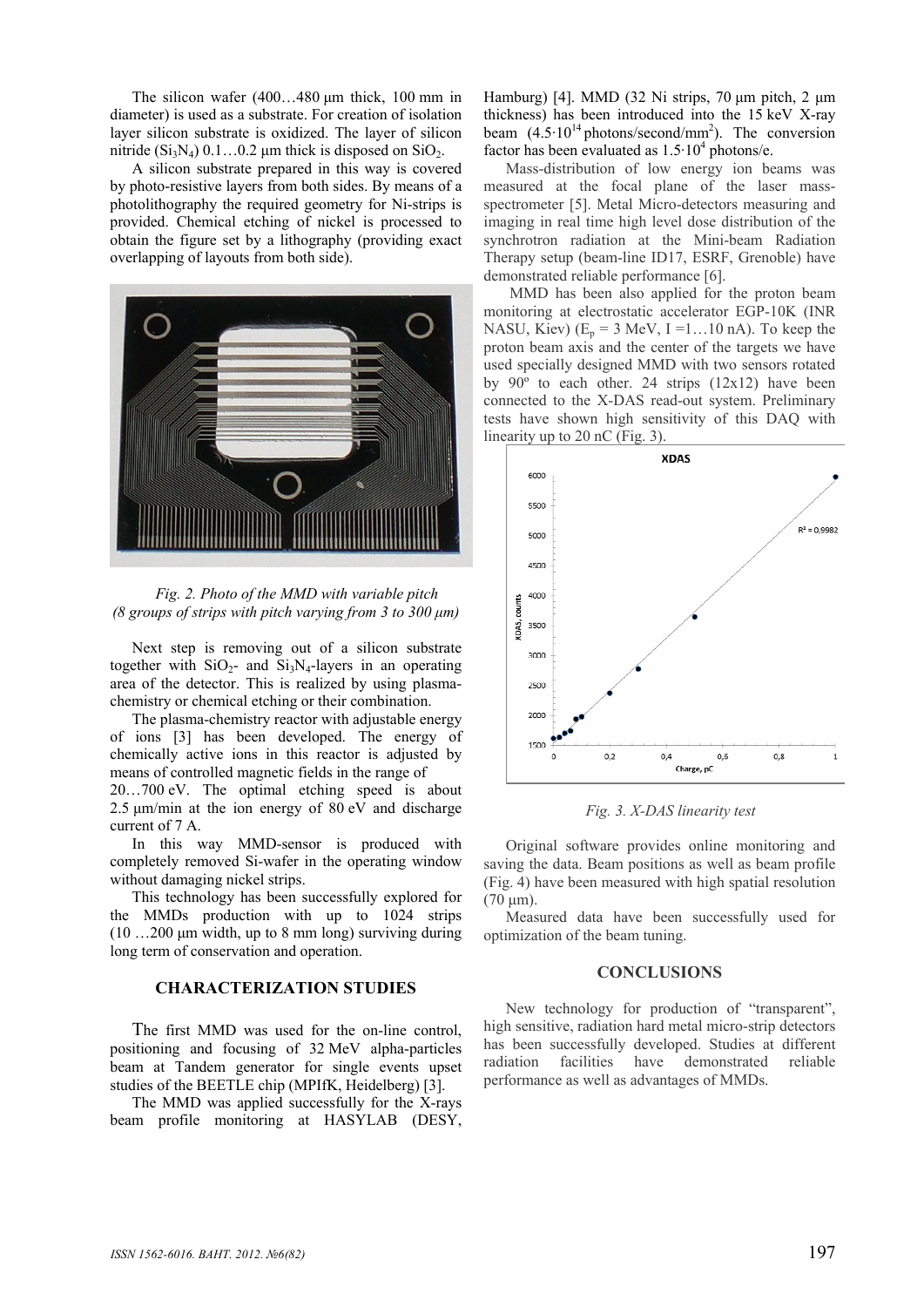The silicon wafer (400…480 μm thick, 100 mm in diameter) is used as a substrate. For creation of isolation layer silicon substrate is oxidized. The layer of silicon nitride  $(Si_3N_4)$  0.1…0.2 μm thick is disposed on  $SiO_2$ .

A silicon substrate prepared in this way is covered by photo-resistive layers from both sides. By means of a photolithography the required geometry for Ni-strips is provided. Chemical etching of nickel is processed to obtain the figure set by a lithography (providing exact overlapping of layouts from both side).



*Fig. 2. Photo of the MMD with variable pitch (8 groups of strips with pitch varying from 3 to 300 μm)* 

Next step is removing out of a silicon substrate together with  $SiO<sub>2</sub>$ - and  $Si<sub>3</sub>N<sub>4</sub>$ -layers in an operating area of the detector. This is realized by using plasmachemistry or chemical etching or their combination.

The plasma-chemistry reactor with adjustable energy of ions [3] has been developed. The energy of chemically active ions in this reactor is adjusted by means of controlled magnetic fields in the range of

20…700 eV. The optimal etching speed is about 2.5 μm/min at the ion energy of 80 eV and discharge current of 7 A.

In this way MMD-sensor is produced with completely removed Si-wafer in the operating window without damaging nickel strips.

This technology has been successfully explored for the MMDs production with up to 1024 strips  $(10 \dots 200 \mu m \text{ width}, \text{ up to } 8 \text{ mm long})$  surviving during long term of conservation and operation.

# **CHARACTERIZATION STUDIES**

The first MMD was used for the on-line control, positioning and focusing of 32 MeV alpha-particles beam at Tandem generator for single events upset studies of the BEETLE chip (MPIfK, Heidelberg) [3].

The MMD was applied successfully for the X-rays beam profile monitoring at HASYLAB (DESY, Hamburg) [4]. MMD (32 Ni strips, 70 μm pitch, 2 μm thickness) has been introduced into the 15 keV X-ray beam  $(4.5 \cdot 10^{14} \text{ photons/second/mm}^2)$ . The conversion factor has been evaluated as  $1.5 \cdot 10^4$  photons/e.

Mass-distribution of low energy ion beams was measured at the focal plane of the laser massspectrometer [5]. Metal Micro-detectors measuring and imaging in real time high level dose distribution of the synchrotron radiation at the Mini-beam Radiation Therapy setup (beam-line ID17, ESRF, Grenoble) have demonstrated reliable performance [6].

 MMD has been also applied for the proton beam monitoring at electrostatic accelerator EGP-10K (INR NASU, Kiev) ( $E_p = 3$  MeV, I =1...10 nA). To keep the proton beam axis and the center of the targets we have used specially designed MMD with two sensors rotated by  $90^\circ$  to each other. 24 strips (12x12) have been connected to the X-DAS read-out system. Preliminary tests have shown high sensitivity of this DAQ with linearity up to 20 nC (Fig. 3).



*Fig. 3. X-DAS linearity test* 

Original software provides online monitoring and saving the data. Beam positions as well as beam profile (Fig. 4) have been measured with high spatial resolution (70 μm).

Measured data have been successfully used for optimization of the beam tuning.

#### **CONCLUSIONS**

New technology for production of "transparent", high sensitive, radiation hard metal micro-strip detectors has been successfully developed. Studies at different radiation facilities have demonstrated reliable performance as well as advantages of MMDs.